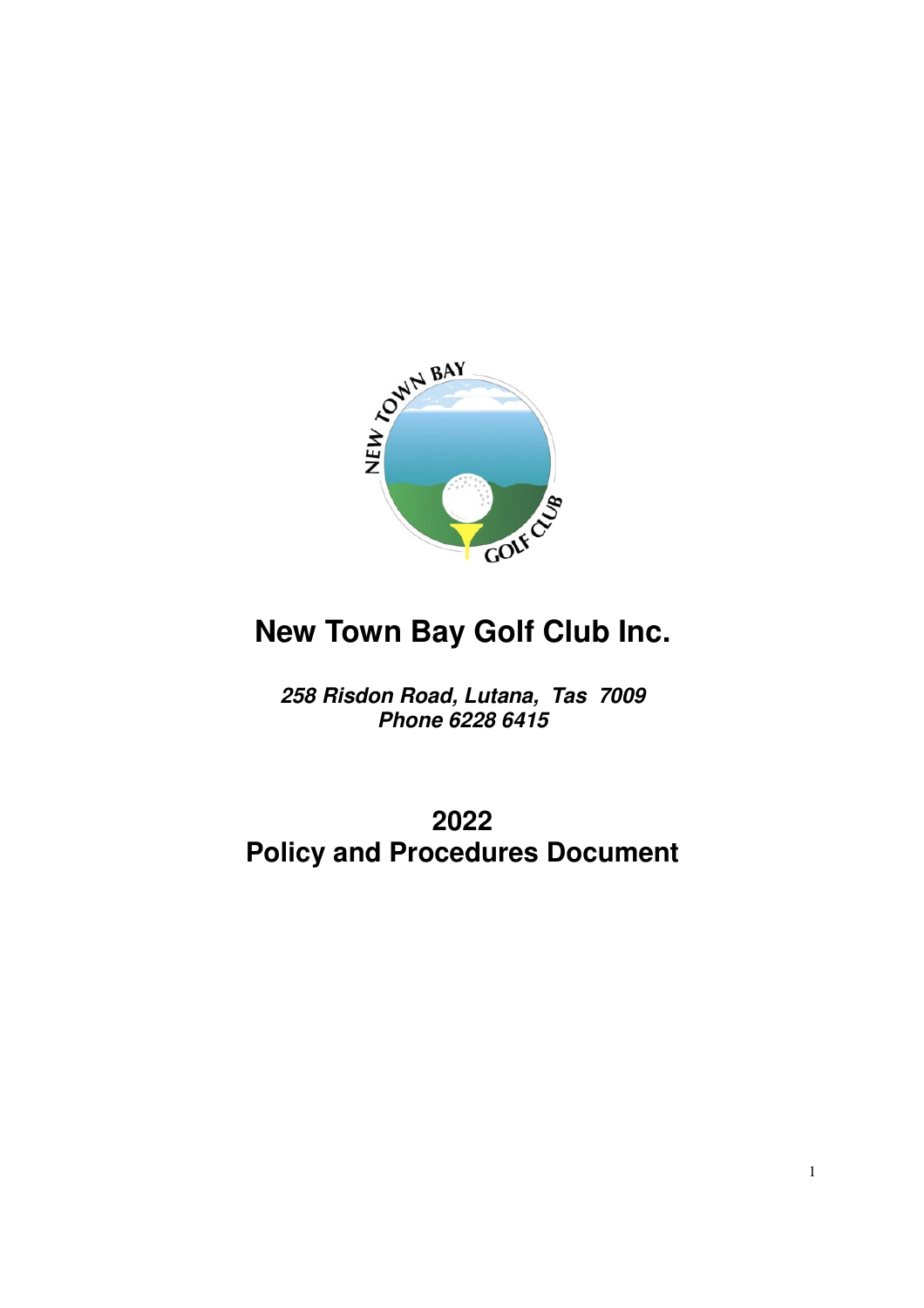

# **New Town Bay Golf Club Inc.**

**258 Risdon Road, Lutana, Tas 7009 Phone 6228 6415** 

## **2022 Policy and Procedures Document**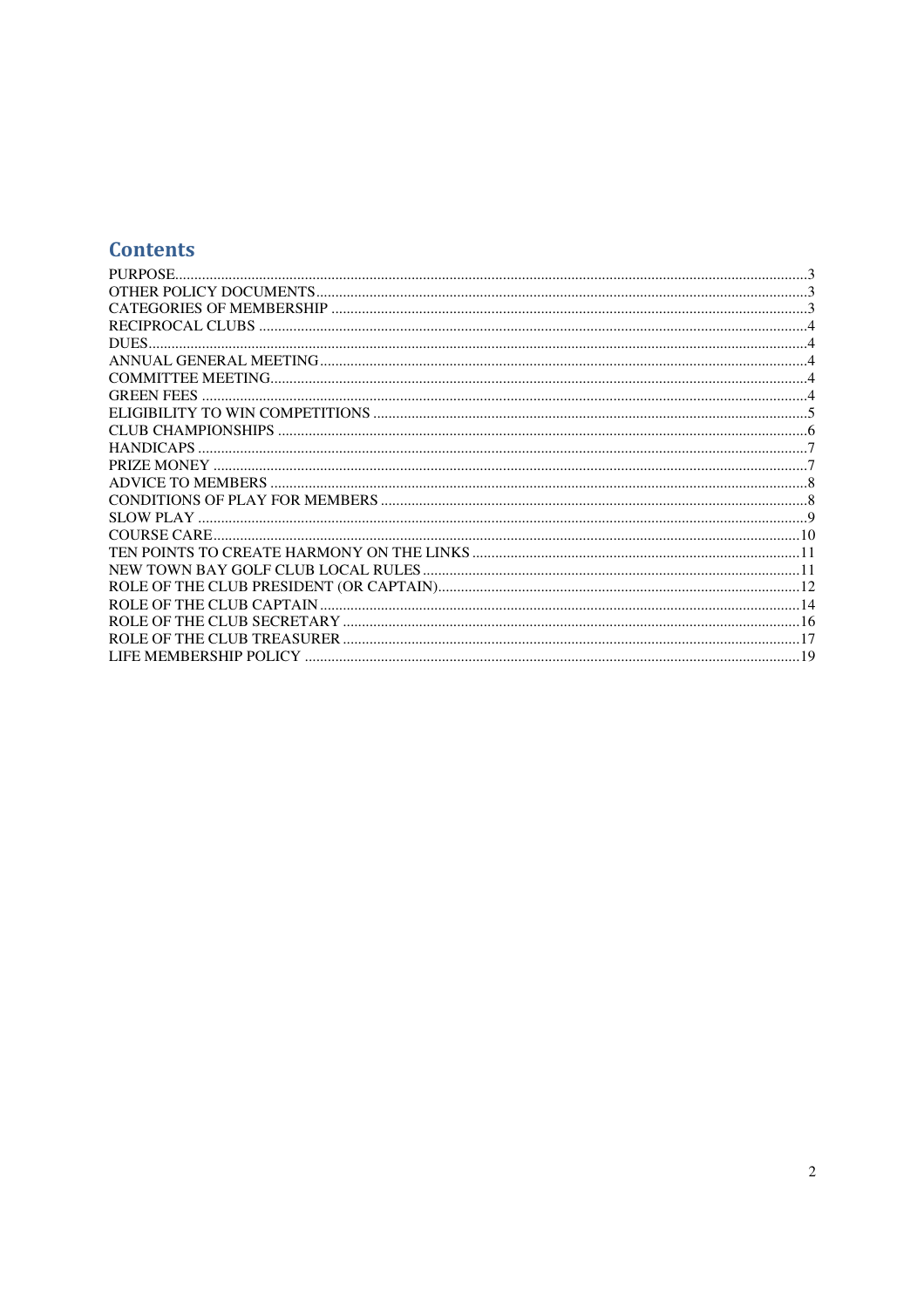### **Contents**

| <b>GREEN FEES</b>      |  |
|------------------------|--|
|                        |  |
|                        |  |
|                        |  |
|                        |  |
|                        |  |
|                        |  |
|                        |  |
|                        |  |
|                        |  |
|                        |  |
|                        |  |
|                        |  |
|                        |  |
|                        |  |
| LIFE MEMBERSHIP POLICY |  |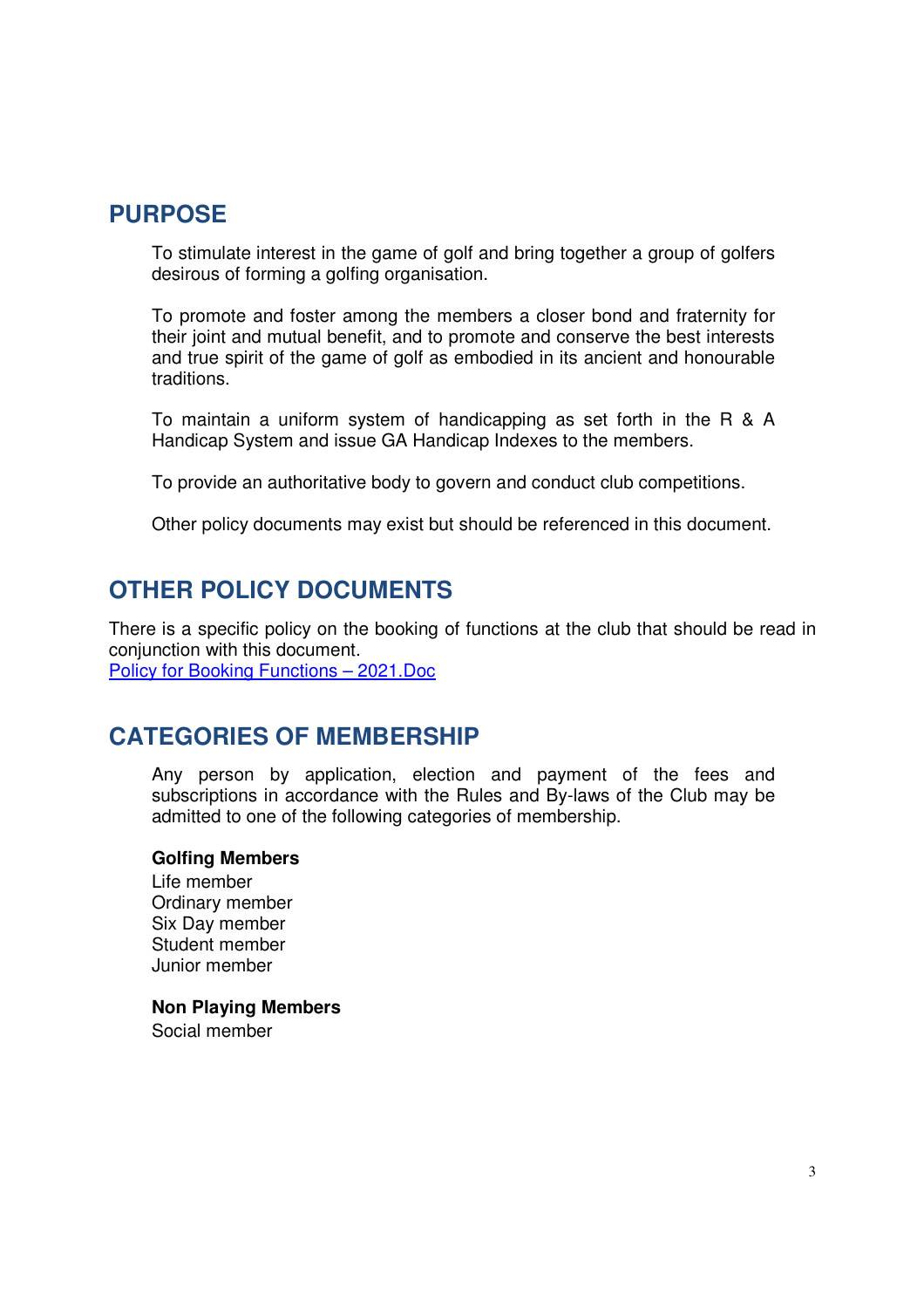### **PURPOSE**

To stimulate interest in the game of golf and bring together a group of golfers desirous of forming a golfing organisation.

To promote and foster among the members a closer bond and fraternity for their joint and mutual benefit, and to promote and conserve the best interests and true spirit of the game of golf as embodied in its ancient and honourable traditions.

To maintain a uniform system of handicapping as set forth in the R & A Handicap System and issue GA Handicap Indexes to the members.

To provide an authoritative body to govern and conduct club competitions.

Other policy documents may exist but should be referenced in this document.

### **OTHER POLICY DOCUMENTS**

There is a specific policy on the booking of functions at the club that should be read in conjunction with this document. Policy for Booking Functions – 2021.Doc

### **CATEGORIES OF MEMBERSHIP**

Any person by application, election and payment of the fees and subscriptions in accordance with the Rules and By-laws of the Club may be admitted to one of the following categories of membership.

#### **Golfing Members**

Life member Ordinary member Six Day member Student member Junior member

#### **Non Playing Members**

Social member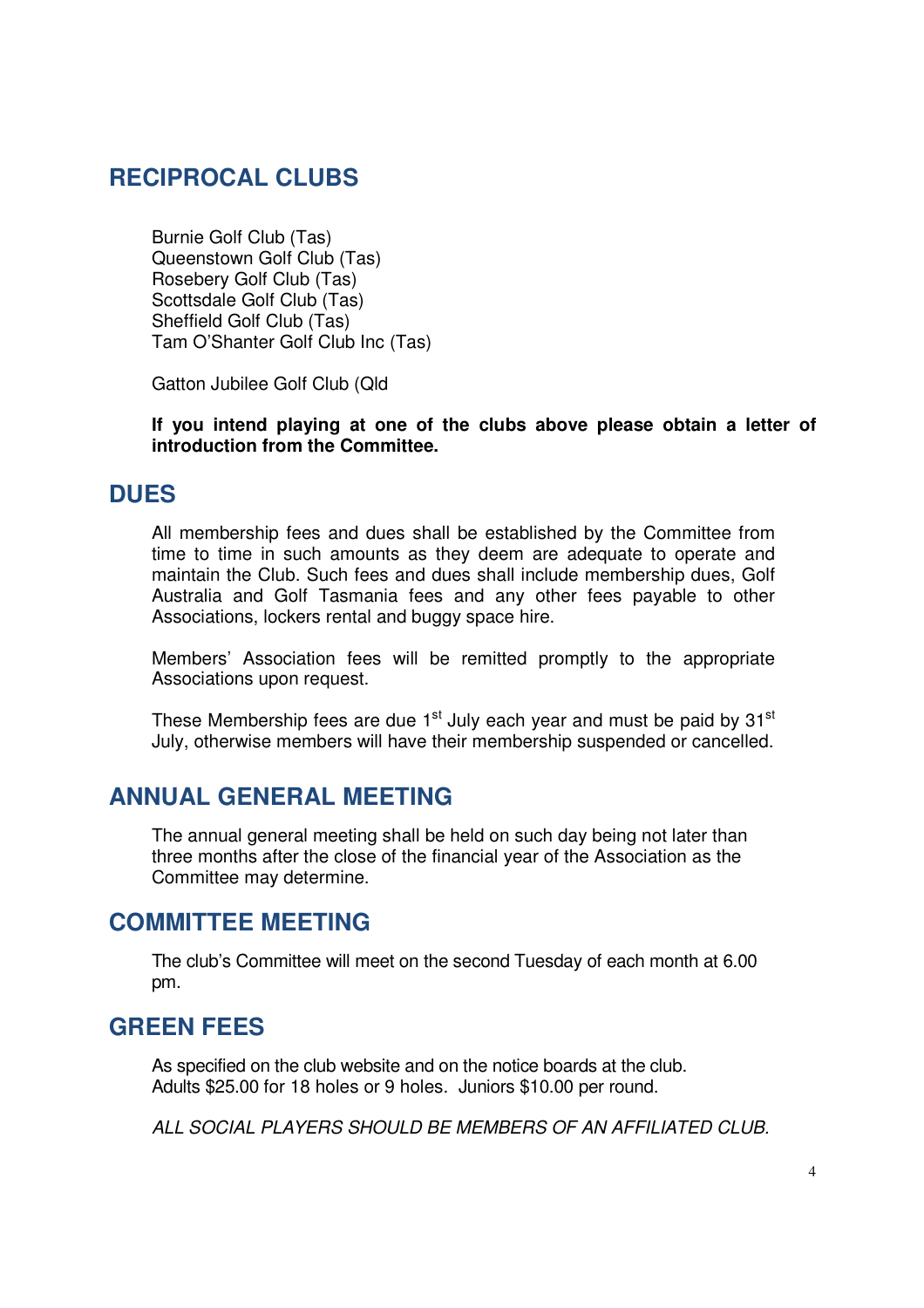### **RECIPROCAL CLUBS**

Burnie Golf Club (Tas) Queenstown Golf Club (Tas) Rosebery Golf Club (Tas) Scottsdale Golf Club (Tas) Sheffield Golf Club (Tas) Tam O'Shanter Golf Club Inc (Tas)

Gatton Jubilee Golf Club (Qld

**If you intend playing at one of the clubs above please obtain a letter of introduction from the Committee.**

### **DUES**

All membership fees and dues shall be established by the Committee from time to time in such amounts as they deem are adequate to operate and maintain the Club. Such fees and dues shall include membership dues, Golf Australia and Golf Tasmania fees and any other fees payable to other Associations, lockers rental and buggy space hire.

Members' Association fees will be remitted promptly to the appropriate Associations upon request.

These Membership fees are due  $1<sup>st</sup>$  July each year and must be paid by 31 $<sup>st</sup>$ </sup> July, otherwise members will have their membership suspended or cancelled.

### **ANNUAL GENERAL MEETING**

The annual general meeting shall be held on such day being not later than three months after the close of the financial year of the Association as the Committee may determine.

### **COMMITTEE MEETING**

The club's Committee will meet on the second Tuesday of each month at 6.00 pm.

### **GREEN FEES**

As specified on the club website and on the notice boards at the club. Adults \$25.00 for 18 holes or 9 holes. Juniors \$10.00 per round.

ALL SOCIAL PLAYERS SHOULD BE MEMBERS OF AN AFFILIATED CLUB.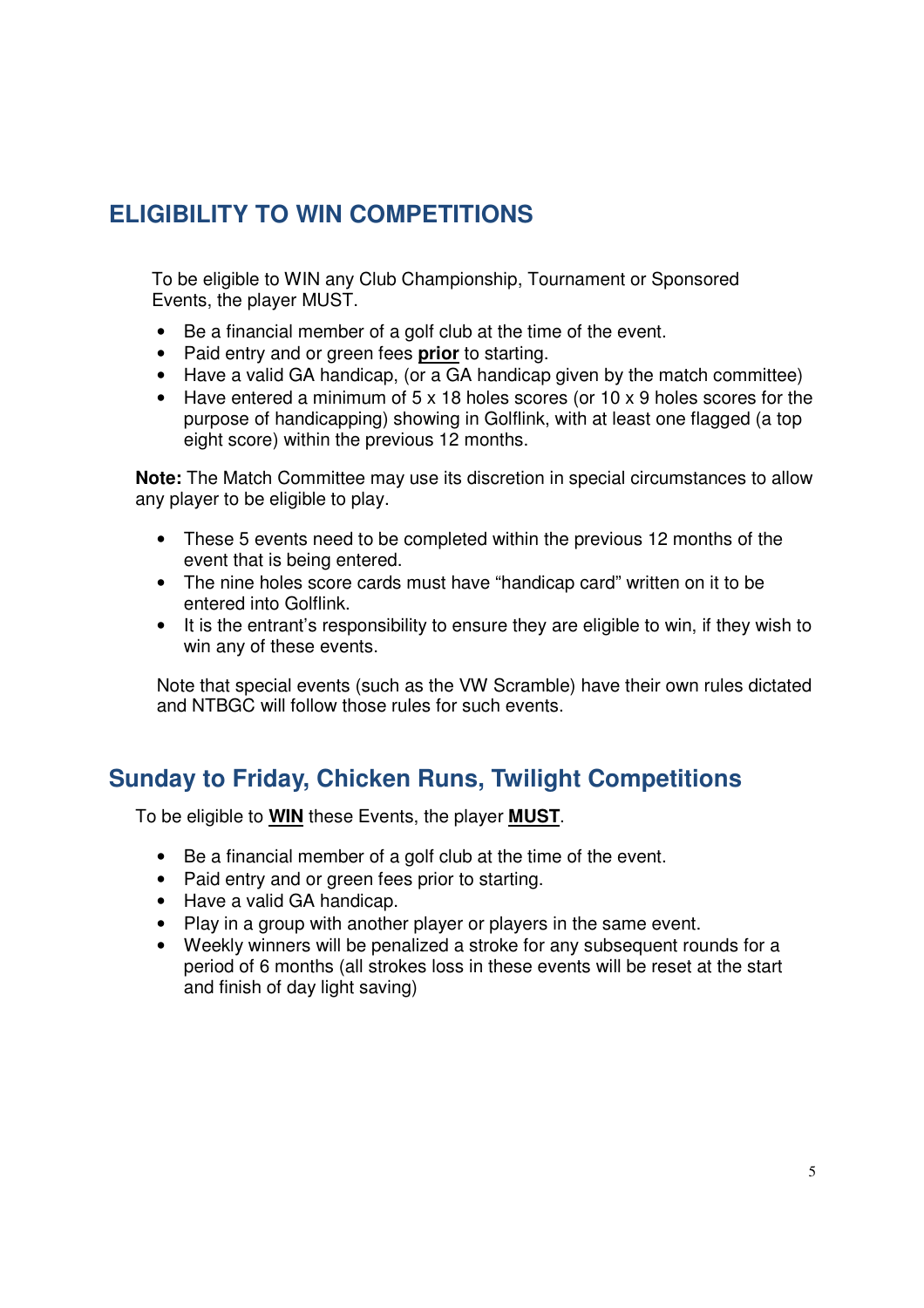## **ELIGIBILITY TO WIN COMPETITIONS**

To be eligible to WIN any Club Championship, Tournament or Sponsored Events, the player MUST.

- Be a financial member of a golf club at the time of the event.
- Paid entry and or green fees **prior** to starting.
- Have a valid GA handicap, (or a GA handicap given by the match committee)
- Have entered a minimum of 5 x 18 holes scores (or 10 x 9 holes scores for the purpose of handicapping) showing in Golflink, with at least one flagged (a top eight score) within the previous 12 months.

**Note:** The Match Committee may use its discretion in special circumstances to allow any player to be eligible to play.

- These 5 events need to be completed within the previous 12 months of the event that is being entered.
- The nine holes score cards must have "handicap card" written on it to be entered into Golflink.
- It is the entrant's responsibility to ensure they are eligible to win, if they wish to win any of these events.

Note that special events (such as the VW Scramble) have their own rules dictated and NTBGC will follow those rules for such events.

### **Sunday to Friday, Chicken Runs, Twilight Competitions**

To be eligible to **WIN** these Events, the player **MUST**.

- Be a financial member of a golf club at the time of the event.
- Paid entry and or green fees prior to starting.
- Have a valid GA handicap.
- Play in a group with another player or players in the same event.
- Weekly winners will be penalized a stroke for any subsequent rounds for a period of 6 months (all strokes loss in these events will be reset at the start and finish of day light saving)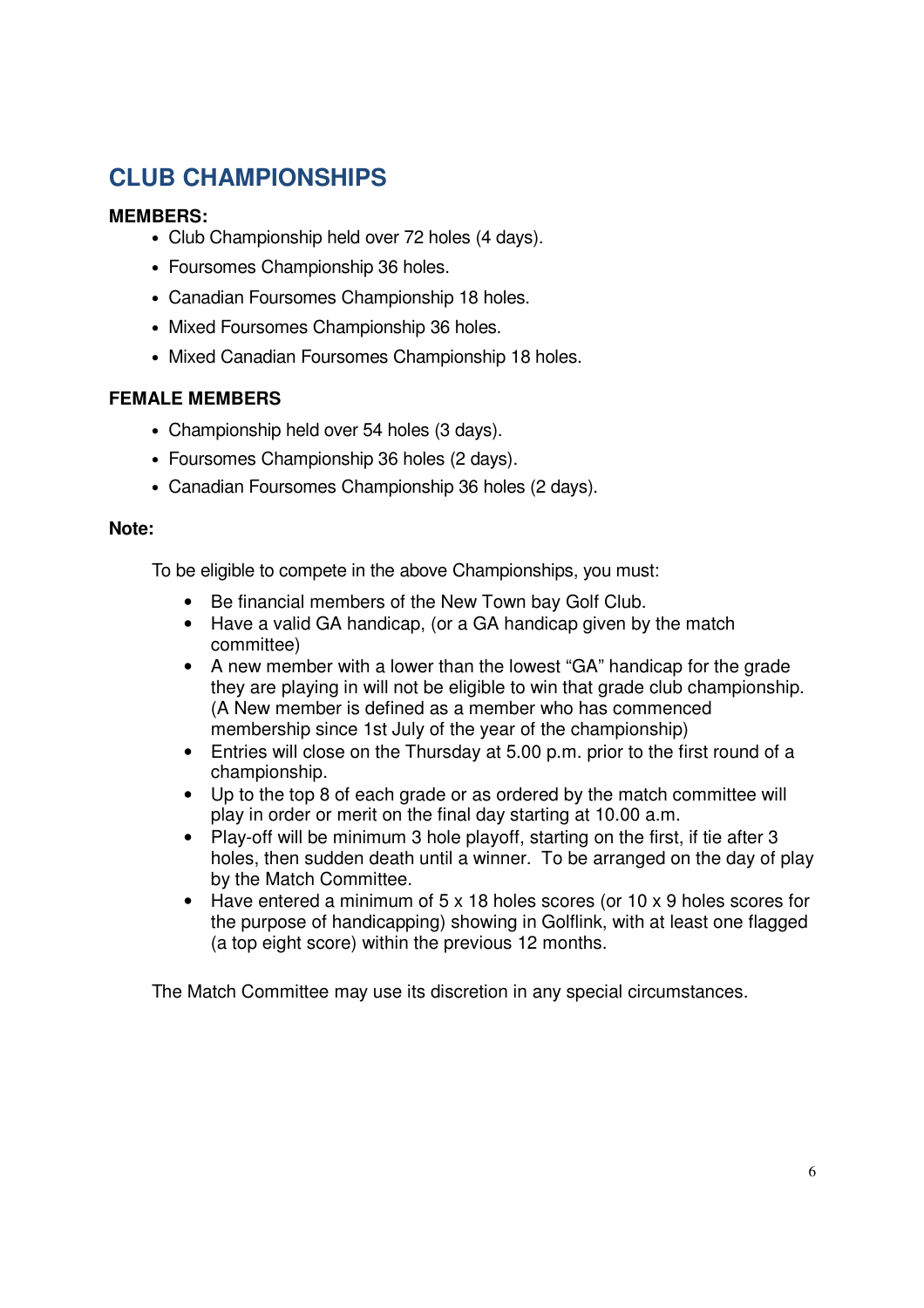## **CLUB CHAMPIONSHIPS**

#### **MEMBERS:**

- Club Championship held over 72 holes (4 days).
- Foursomes Championship 36 holes.
- Canadian Foursomes Championship 18 holes.
- Mixed Foursomes Championship 36 holes.
- Mixed Canadian Foursomes Championship 18 holes.

#### **FEMALE MEMBERS**

- Championship held over 54 holes (3 days).
- Foursomes Championship 36 holes (2 days).
- Canadian Foursomes Championship 36 holes (2 days).

#### **Note:**

To be eligible to compete in the above Championships, you must:

- Be financial members of the New Town bay Golf Club.
- Have a valid GA handicap, (or a GA handicap given by the match committee)
- A new member with a lower than the lowest "GA" handicap for the grade they are playing in will not be eligible to win that grade club championship. (A New member is defined as a member who has commenced membership since 1st July of the year of the championship)
- Entries will close on the Thursday at 5.00 p.m. prior to the first round of a championship.
- Up to the top 8 of each grade or as ordered by the match committee will play in order or merit on the final day starting at 10.00 a.m.
- Play-off will be minimum 3 hole playoff, starting on the first, if tie after 3 holes, then sudden death until a winner. To be arranged on the day of play by the Match Committee.
- Have entered a minimum of 5 x 18 holes scores (or 10 x 9 holes scores for the purpose of handicapping) showing in Golflink, with at least one flagged (a top eight score) within the previous 12 months.

The Match Committee may use its discretion in any special circumstances.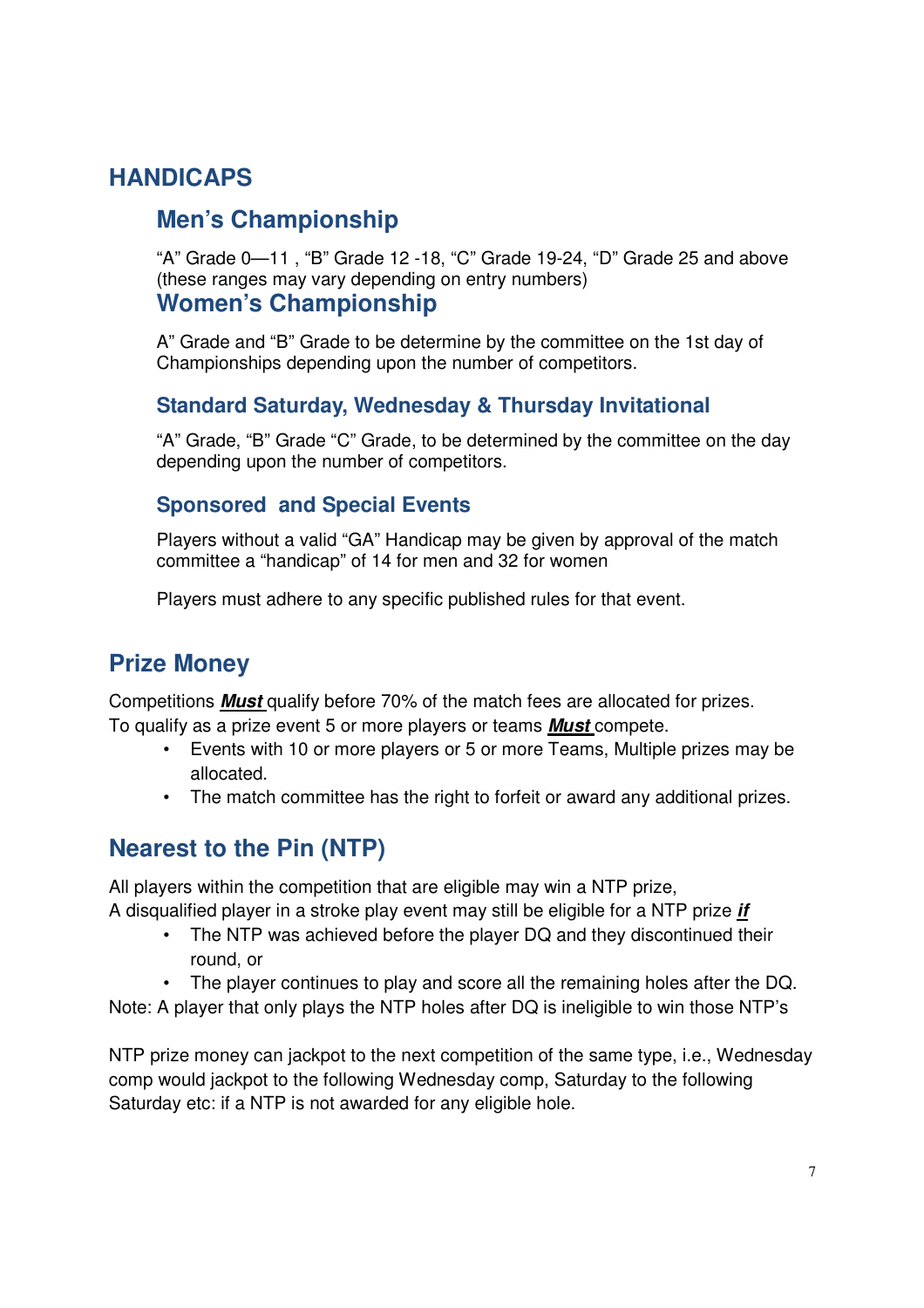## **HANDICAPS**

### **Men's Championship**

"A" Grade 0—11 , "B" Grade 12 -18, "C" Grade 19-24, "D" Grade 25 and above (these ranges may vary depending on entry numbers) **Women's Championship** 

A" Grade and "B" Grade to be determine by the committee on the 1st day of Championships depending upon the number of competitors.

### **Standard Saturday, Wednesday & Thursday Invitational**

"A" Grade, "B" Grade "C" Grade, to be determined by the committee on the day depending upon the number of competitors.

### **Sponsored and Special Events**

Players without a valid "GA" Handicap may be given by approval of the match committee a "handicap" of 14 for men and 32 for women

Players must adhere to any specific published rules for that event.

## **Prize Money**

Competitions **Must** qualify before 70% of the match fees are allocated for prizes. To qualify as a prize event 5 or more players or teams **Must** compete.

- Events with 10 or more players or 5 or more Teams, Multiple prizes may be allocated.
- The match committee has the right to forfeit or award any additional prizes.

## **Nearest to the Pin (NTP)**

All players within the competition that are eligible may win a NTP prize,

A disqualified player in a stroke play event may still be eligible for a NTP prize **if** 

- The NTP was achieved before the player DQ and they discontinued their round, or
- The player continues to play and score all the remaining holes after the DQ.

Note: A player that only plays the NTP holes after DQ is ineligible to win those NTP's

NTP prize money can jackpot to the next competition of the same type, i.e., Wednesday comp would jackpot to the following Wednesday comp, Saturday to the following Saturday etc: if a NTP is not awarded for any eligible hole.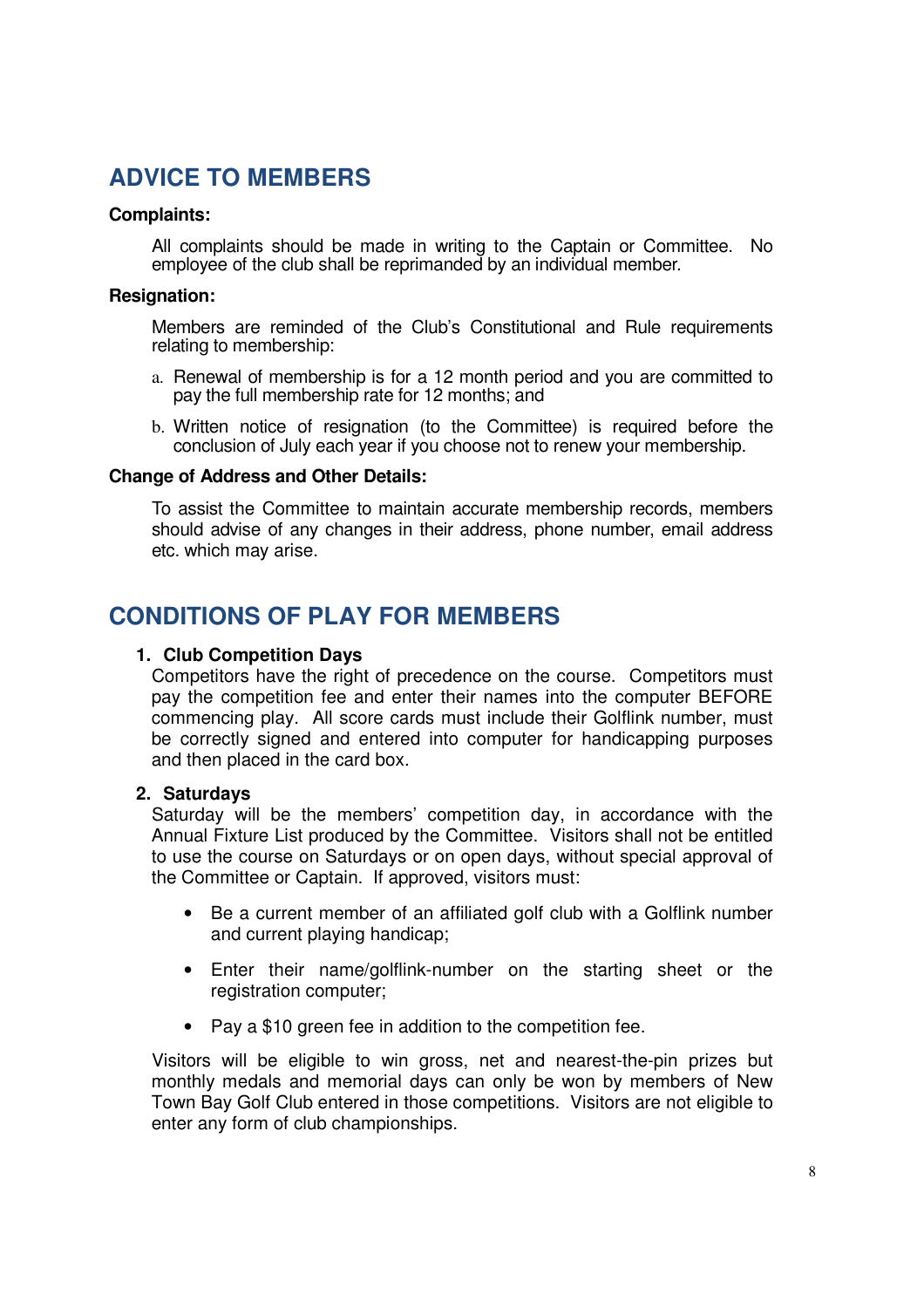### **ADVICE TO MEMBERS**

#### **Complaints:**

All complaints should be made in writing to the Captain or Committee. No employee of the club shall be reprimanded by an individual member.

#### **Resignation:**

Members are reminded of the Club's Constitutional and Rule requirements relating to membership:

- a. Renewal of membership is for a 12 month period and you are committed to pay the full membership rate for 12 months; and
- b. Written notice of resignation (to the Committee) is required before the conclusion of July each year if you choose not to renew your membership.

#### **Change of Address and Other Details:**

To assist the Committee to maintain accurate membership records, members should advise of any changes in their address, phone number, email address etc. which may arise.

### **CONDITIONS OF PLAY FOR MEMBERS**

#### **1. Club Competition Days**

Competitors have the right of precedence on the course. Competitors must pay the competition fee and enter their names into the computer BEFORE commencing play. All score cards must include their Golflink number, must be correctly signed and entered into computer for handicapping purposes and then placed in the card box.

#### **2. Saturdays**

Saturday will be the members' competition day, in accordance with the Annual Fixture List produced by the Committee. Visitors shall not be entitled to use the course on Saturdays or on open days, without special approval of the Committee or Captain. If approved, visitors must:

- Be a current member of an affiliated golf club with a Golflink number and current playing handicap;
- Enter their name/golflink-number on the starting sheet or the registration computer;
- Pay a \$10 green fee in addition to the competition fee.

Visitors will be eligible to win gross, net and nearest-the-pin prizes but monthly medals and memorial days can only be won by members of New Town Bay Golf Club entered in those competitions. Visitors are not eligible to enter any form of club championships.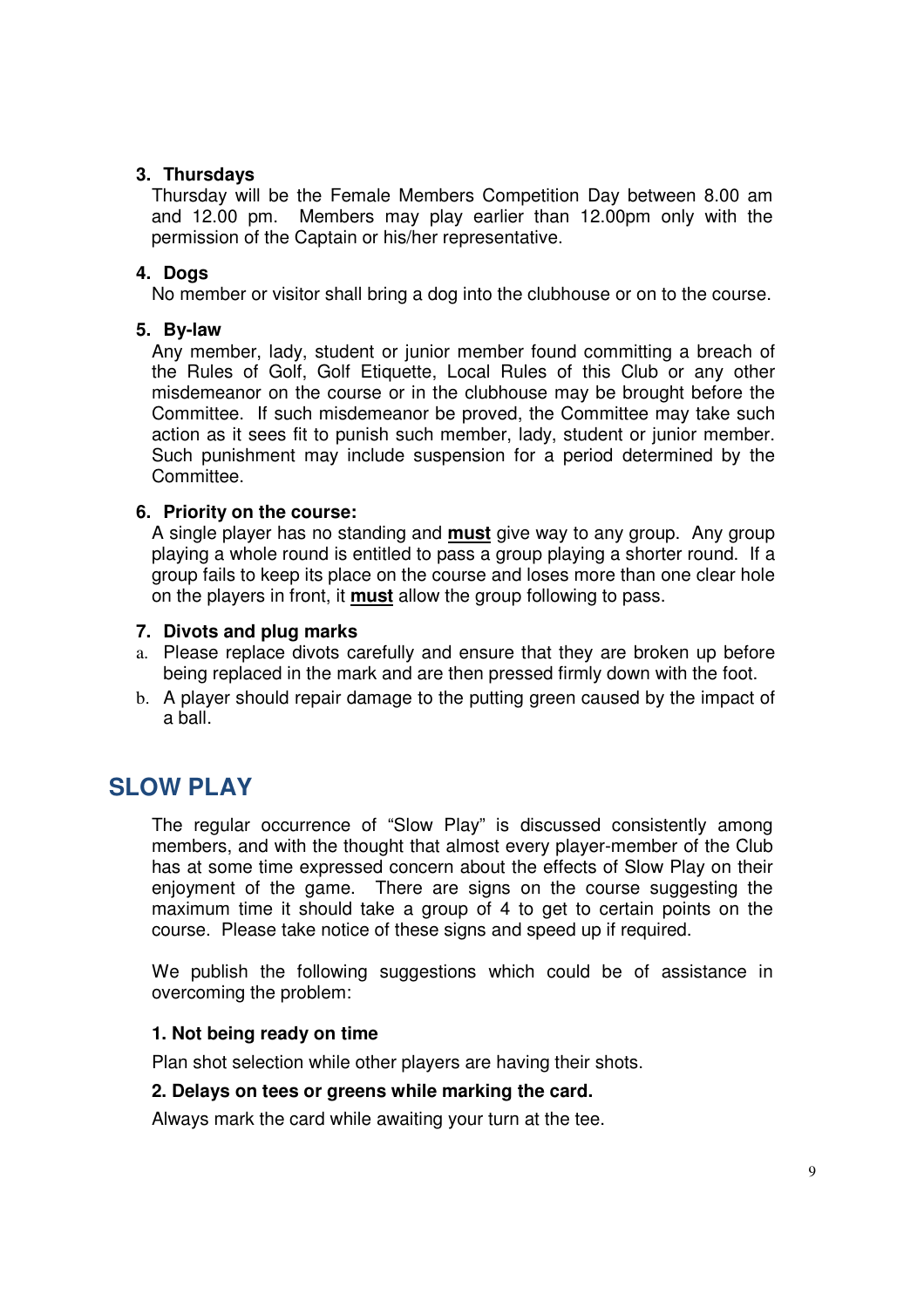#### **3. Thursdays**

Thursday will be the Female Members Competition Day between 8.00 am and 12.00 pm. Members may play earlier than 12.00pm only with the permission of the Captain or his/her representative.

#### **4. Dogs**

No member or visitor shall bring a dog into the clubhouse or on to the course.

#### **5. By-law**

Any member, lady, student or junior member found committing a breach of the Rules of Golf, Golf Etiquette, Local Rules of this Club or any other misdemeanor on the course or in the clubhouse may be brought before the Committee. If such misdemeanor be proved, the Committee may take such action as it sees fit to punish such member, lady, student or junior member. Such punishment may include suspension for a period determined by the Committee.

#### **6. Priority on the course:**

A single player has no standing and **must** give way to any group. Any group playing a whole round is entitled to pass a group playing a shorter round. If a group fails to keep its place on the course and loses more than one clear hole on the players in front, it **must** allow the group following to pass.

#### **7. Divots and plug marks**

- a. Please replace divots carefully and ensure that they are broken up before being replaced in the mark and are then pressed firmly down with the foot.
- b. A player should repair damage to the putting green caused by the impact of a ball.

### **SLOW PLAY**

The regular occurrence of "Slow Play" is discussed consistently among members, and with the thought that almost every player-member of the Club has at some time expressed concern about the effects of Slow Play on their enjoyment of the game. There are signs on the course suggesting the maximum time it should take a group of 4 to get to certain points on the course. Please take notice of these signs and speed up if required.

We publish the following suggestions which could be of assistance in overcoming the problem:

#### **1. Not being ready on time**

Plan shot selection while other players are having their shots.

#### **2. Delays on tees or greens while marking the card.**

Always mark the card while awaiting your turn at the tee.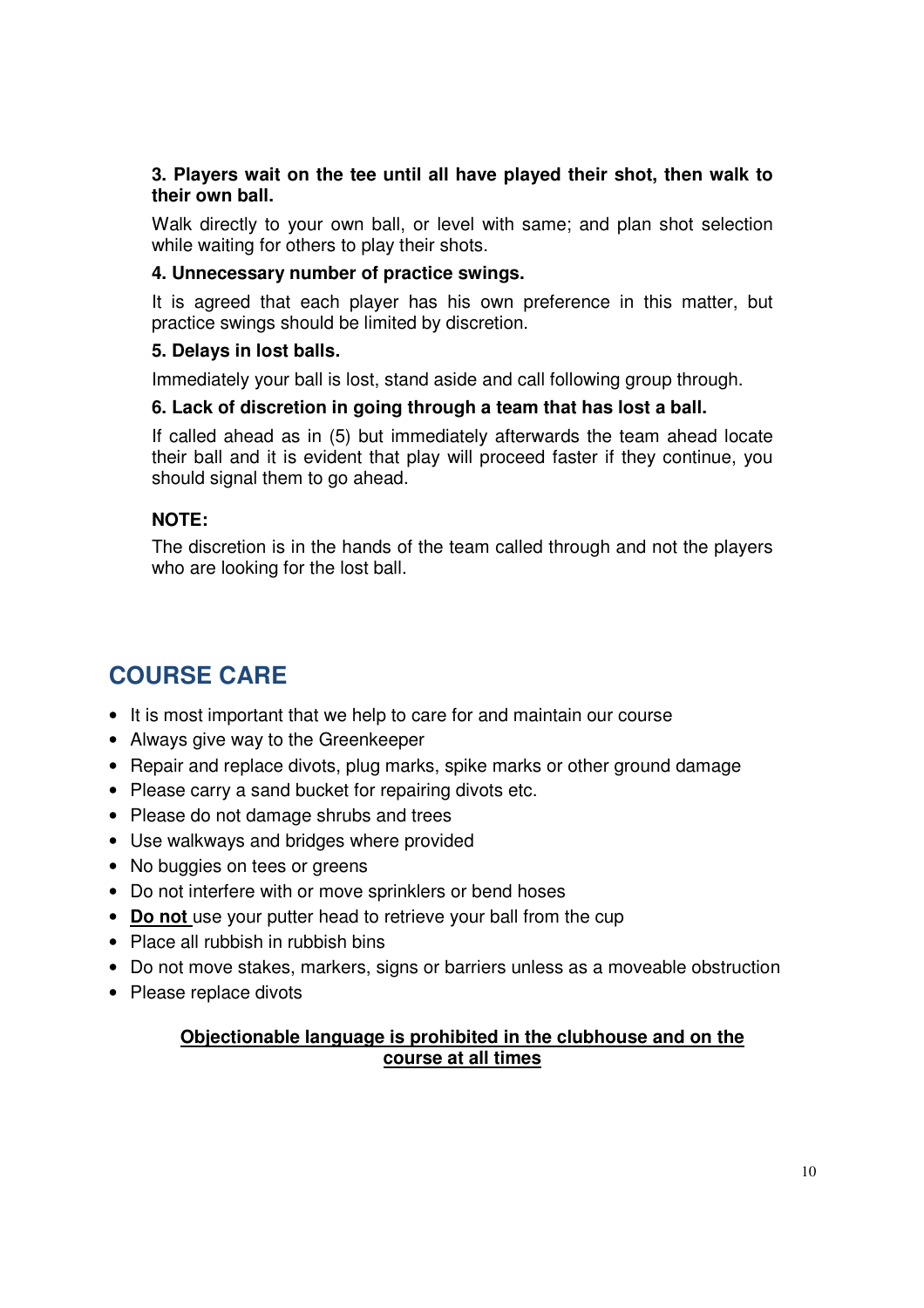#### **3. Players wait on the tee until all have played their shot, then walk to their own ball.**

Walk directly to your own ball, or level with same; and plan shot selection while waiting for others to play their shots.

#### **4. Unnecessary number of practice swings.**

It is agreed that each player has his own preference in this matter, but practice swings should be limited by discretion.

#### **5. Delays in lost balls.**

Immediately your ball is lost, stand aside and call following group through.

#### **6. Lack of discretion in going through a team that has lost a ball.**

If called ahead as in (5) but immediately afterwards the team ahead locate their ball and it is evident that play will proceed faster if they continue, you should signal them to go ahead.

#### **NOTE:**

The discretion is in the hands of the team called through and not the players who are looking for the lost ball.

## **COURSE CARE**

- It is most important that we help to care for and maintain our course
- Always give way to the Greenkeeper
- Repair and replace divots, plug marks, spike marks or other ground damage
- Please carry a sand bucket for repairing divots etc.
- Please do not damage shrubs and trees
- Use walkways and bridges where provided
- No buggies on tees or greens
- Do not interfere with or move sprinklers or bend hoses
- **Do not** use your putter head to retrieve your ball from the cup
- Place all rubbish in rubbish bins
- Do not move stakes, markers, signs or barriers unless as a moveable obstruction
- Please replace divots

#### **Objectionable language is prohibited in the clubhouse and on the course at all times**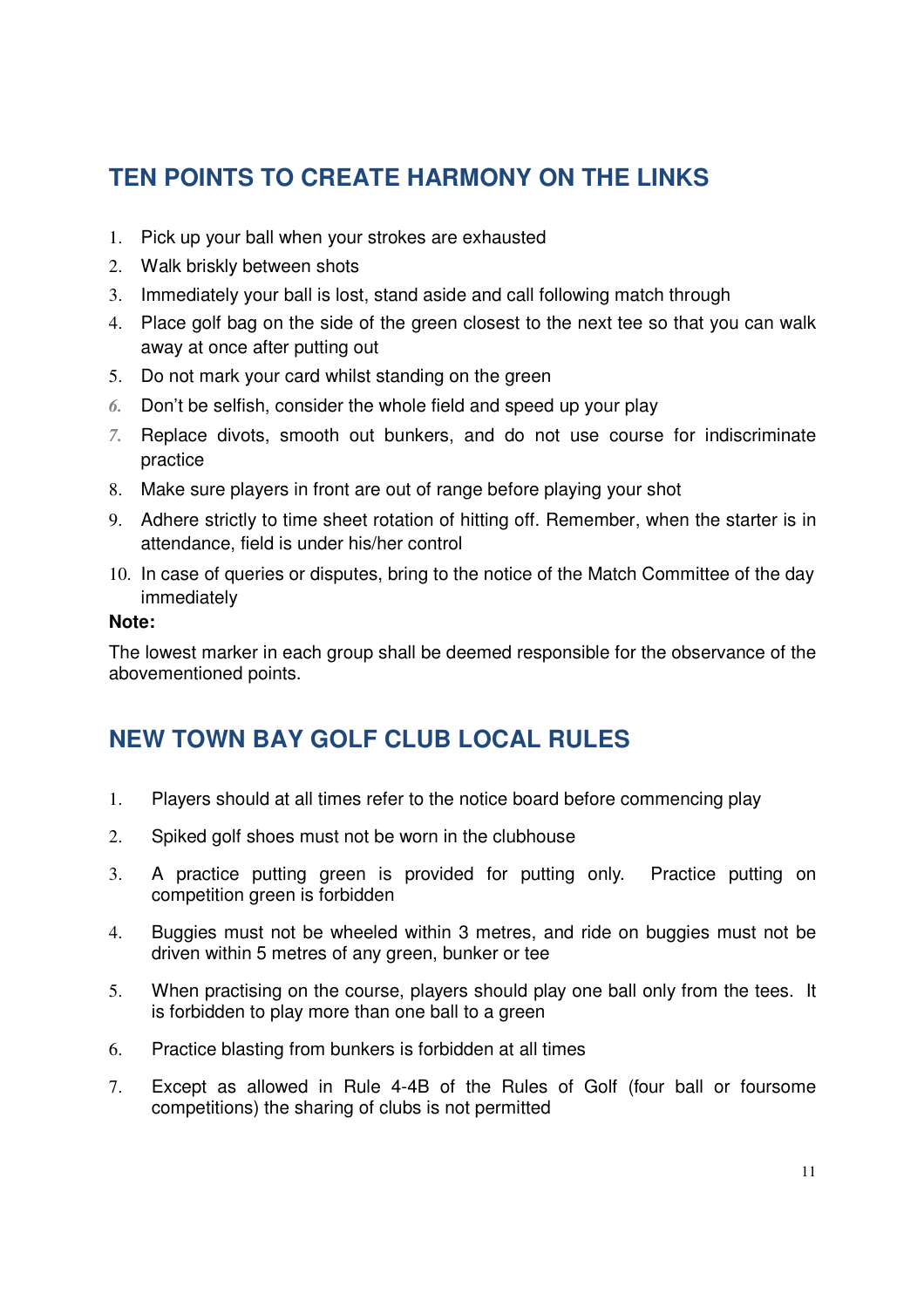## **TEN POINTS TO CREATE HARMONY ON THE LINKS**

- 1. Pick up your ball when your strokes are exhausted
- 2. Walk briskly between shots
- 3. Immediately your ball is lost, stand aside and call following match through
- 4. Place golf bag on the side of the green closest to the next tee so that you can walk away at once after putting out
- 5. Do not mark your card whilst standing on the green
- *6.* Don't be selfish, consider the whole field and speed up your play
- *7.* Replace divots, smooth out bunkers, and do not use course for indiscriminate practice
- 8. Make sure players in front are out of range before playing your shot
- 9. Adhere strictly to time sheet rotation of hitting off. Remember, when the starter is in attendance, field is under his/her control
- 10. In case of queries or disputes, bring to the notice of the Match Committee of the day immediately

#### **Note:**

The lowest marker in each group shall be deemed responsible for the observance of the abovementioned points.

## **NEW TOWN BAY GOLF CLUB LOCAL RULES**

- 1. Players should at all times refer to the notice board before commencing play
- 2. Spiked golf shoes must not be worn in the clubhouse
- 3. A practice putting green is provided for putting only. Practice putting on competition green is forbidden
- 4. Buggies must not be wheeled within 3 metres, and ride on buggies must not be driven within 5 metres of any green, bunker or tee
- 5. When practising on the course, players should play one ball only from the tees. It is forbidden to play more than one ball to a green
- 6. Practice blasting from bunkers is forbidden at all times
- 7. Except as allowed in Rule 4-4B of the Rules of Golf (four ball or foursome competitions) the sharing of clubs is not permitted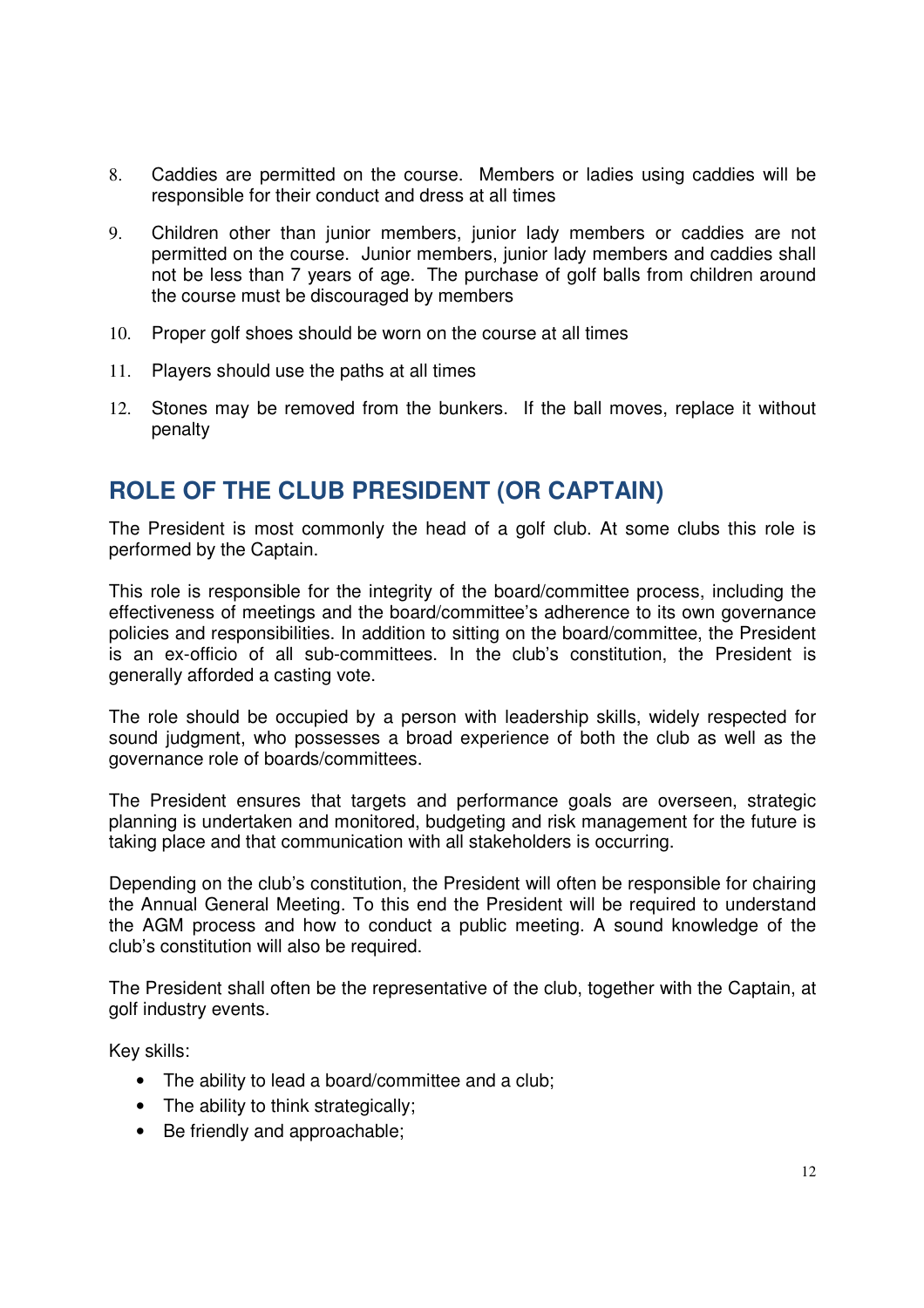- 8. Caddies are permitted on the course. Members or ladies using caddies will be responsible for their conduct and dress at all times
- 9. Children other than junior members, junior lady members or caddies are not permitted on the course. Junior members, junior lady members and caddies shall not be less than 7 years of age. The purchase of golf balls from children around the course must be discouraged by members
- 10. Proper golf shoes should be worn on the course at all times
- 11. Players should use the paths at all times
- 12. Stones may be removed from the bunkers. If the ball moves, replace it without penalty

### **ROLE OF THE CLUB PRESIDENT (OR CAPTAIN)**

The President is most commonly the head of a golf club. At some clubs this role is performed by the Captain.

This role is responsible for the integrity of the board/committee process, including the effectiveness of meetings and the board/committee's adherence to its own governance policies and responsibilities. In addition to sitting on the board/committee, the President is an ex-officio of all sub-committees. In the club's constitution, the President is generally afforded a casting vote.

The role should be occupied by a person with leadership skills, widely respected for sound judgment, who possesses a broad experience of both the club as well as the governance role of boards/committees.

The President ensures that targets and performance goals are overseen, strategic planning is undertaken and monitored, budgeting and risk management for the future is taking place and that communication with all stakeholders is occurring.

Depending on the club's constitution, the President will often be responsible for chairing the Annual General Meeting. To this end the President will be required to understand the AGM process and how to conduct a public meeting. A sound knowledge of the club's constitution will also be required.

The President shall often be the representative of the club, together with the Captain, at golf industry events.

Key skills:

- The ability to lead a board/committee and a club;
- The ability to think strategically;
- Be friendly and approachable: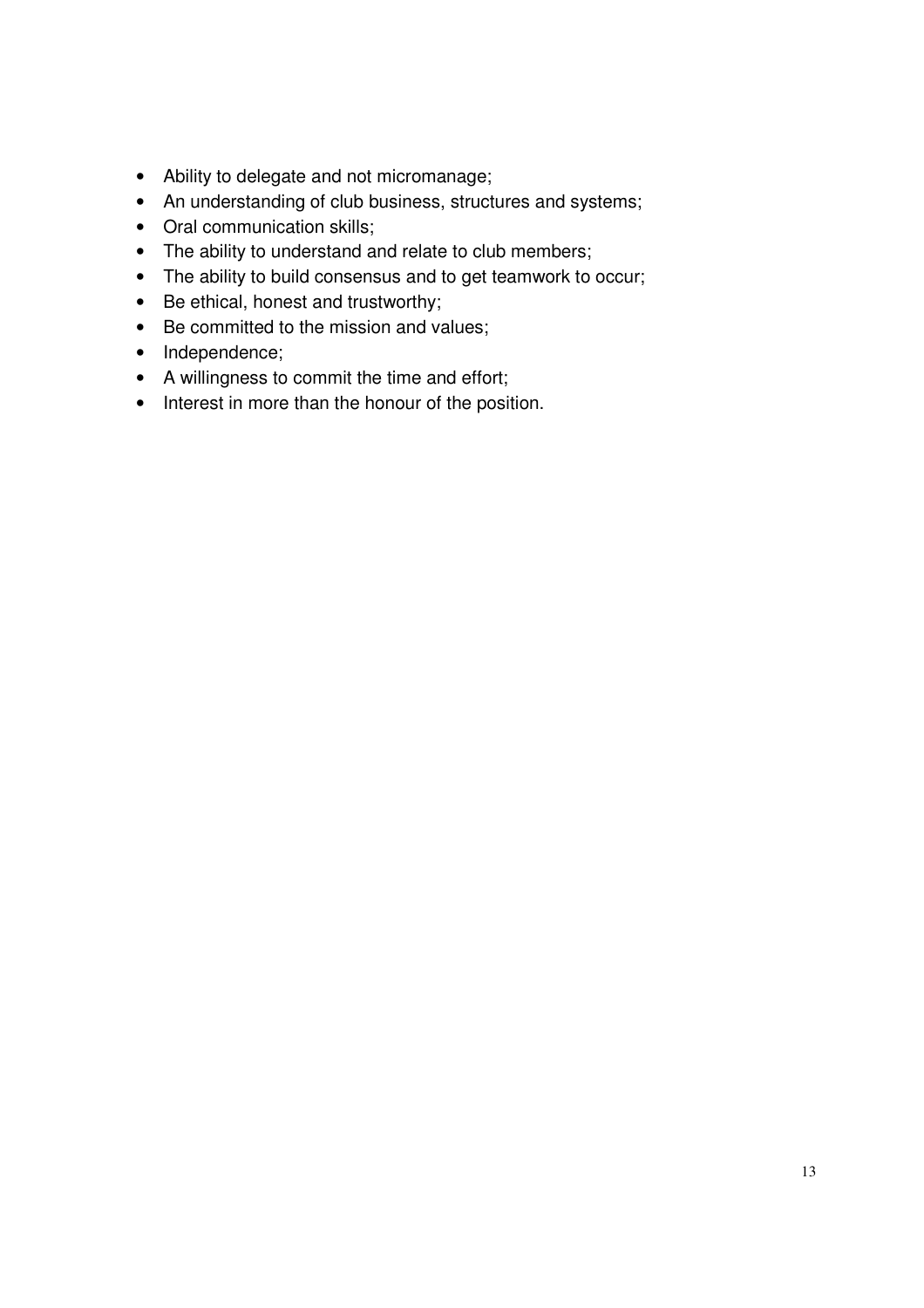- Ability to delegate and not micromanage;
- An understanding of club business, structures and systems;
- Oral communication skills;
- The ability to understand and relate to club members;
- The ability to build consensus and to get teamwork to occur;
- Be ethical, honest and trustworthy;
- Be committed to the mission and values;
- Independence;
- A willingness to commit the time and effort;
- Interest in more than the honour of the position.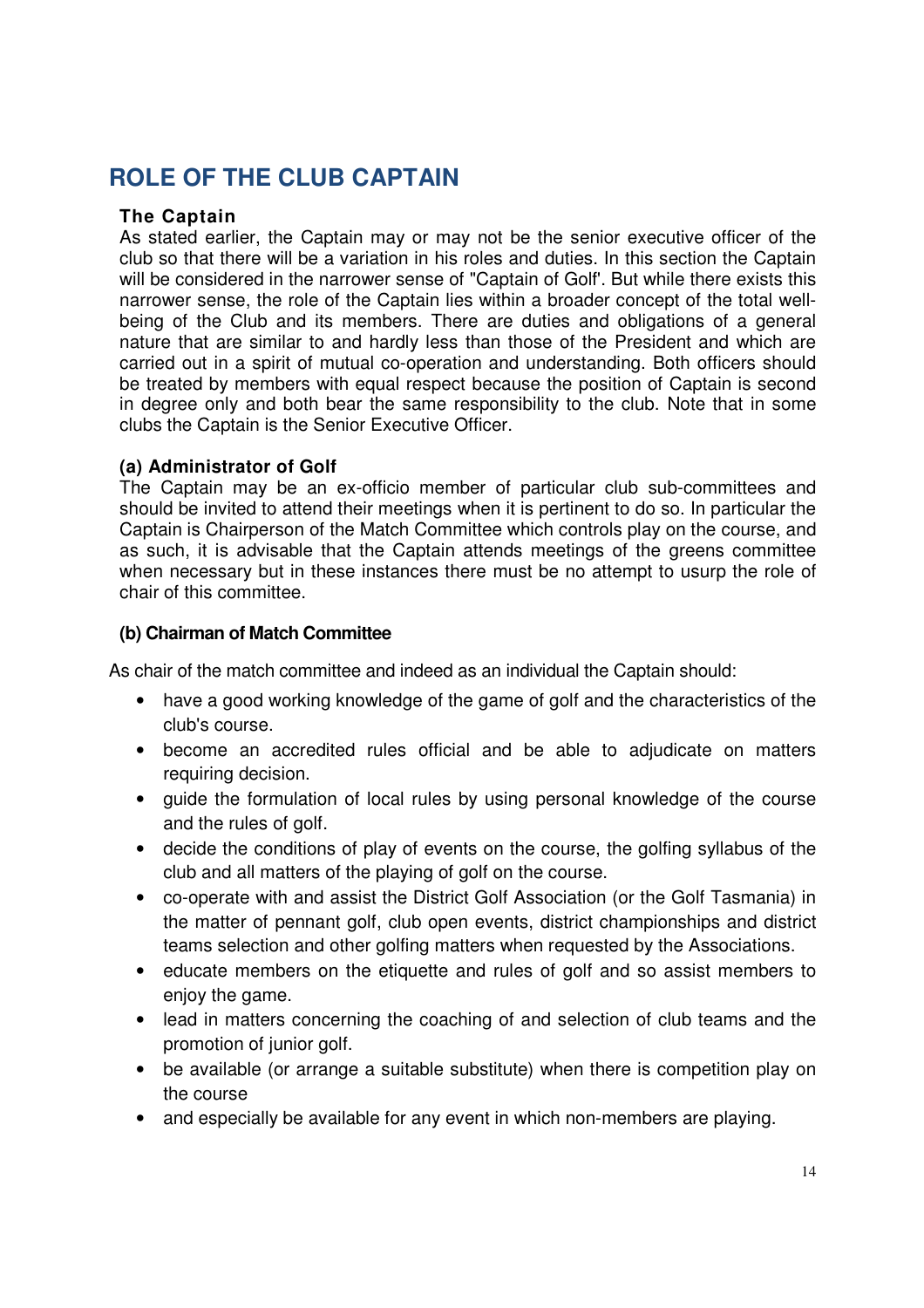## **ROLE OF THE CLUB CAPTAIN**

#### **The Captain**

As stated earlier, the Captain may or may not be the senior executive officer of the club so that there will be a variation in his roles and duties. In this section the Captain will be considered in the narrower sense of "Captain of Golf'. But while there exists this narrower sense, the role of the Captain lies within a broader concept of the total wellbeing of the Club and its members. There are duties and obligations of a general nature that are similar to and hardly less than those of the President and which are carried out in a spirit of mutual co-operation and understanding. Both officers should be treated by members with equal respect because the position of Captain is second in degree only and both bear the same responsibility to the club. Note that in some clubs the Captain is the Senior Executive Officer.

#### **(a) Administrator of Golf**

The Captain may be an ex-officio member of particular club sub-committees and should be invited to attend their meetings when it is pertinent to do so. In particular the Captain is Chairperson of the Match Committee which controls play on the course, and as such, it is advisable that the Captain attends meetings of the greens committee when necessary but in these instances there must be no attempt to usurp the role of chair of this committee.

#### **(b) Chairman of Match Committee**

As chair of the match committee and indeed as an individual the Captain should:

- have a good working knowledge of the game of golf and the characteristics of the club's course.
- become an accredited rules official and be able to adjudicate on matters requiring decision.
- guide the formulation of local rules by using personal knowledge of the course and the rules of golf.
- decide the conditions of play of events on the course, the golfing syllabus of the club and all matters of the playing of golf on the course.
- co-operate with and assist the District Golf Association (or the Golf Tasmania) in the matter of pennant golf, club open events, district championships and district teams selection and other golfing matters when requested by the Associations.
- educate members on the etiquette and rules of golf and so assist members to enjoy the game.
- lead in matters concerning the coaching of and selection of club teams and the promotion of junior golf.
- be available (or arrange a suitable substitute) when there is competition play on the course
- and especially be available for any event in which non-members are playing.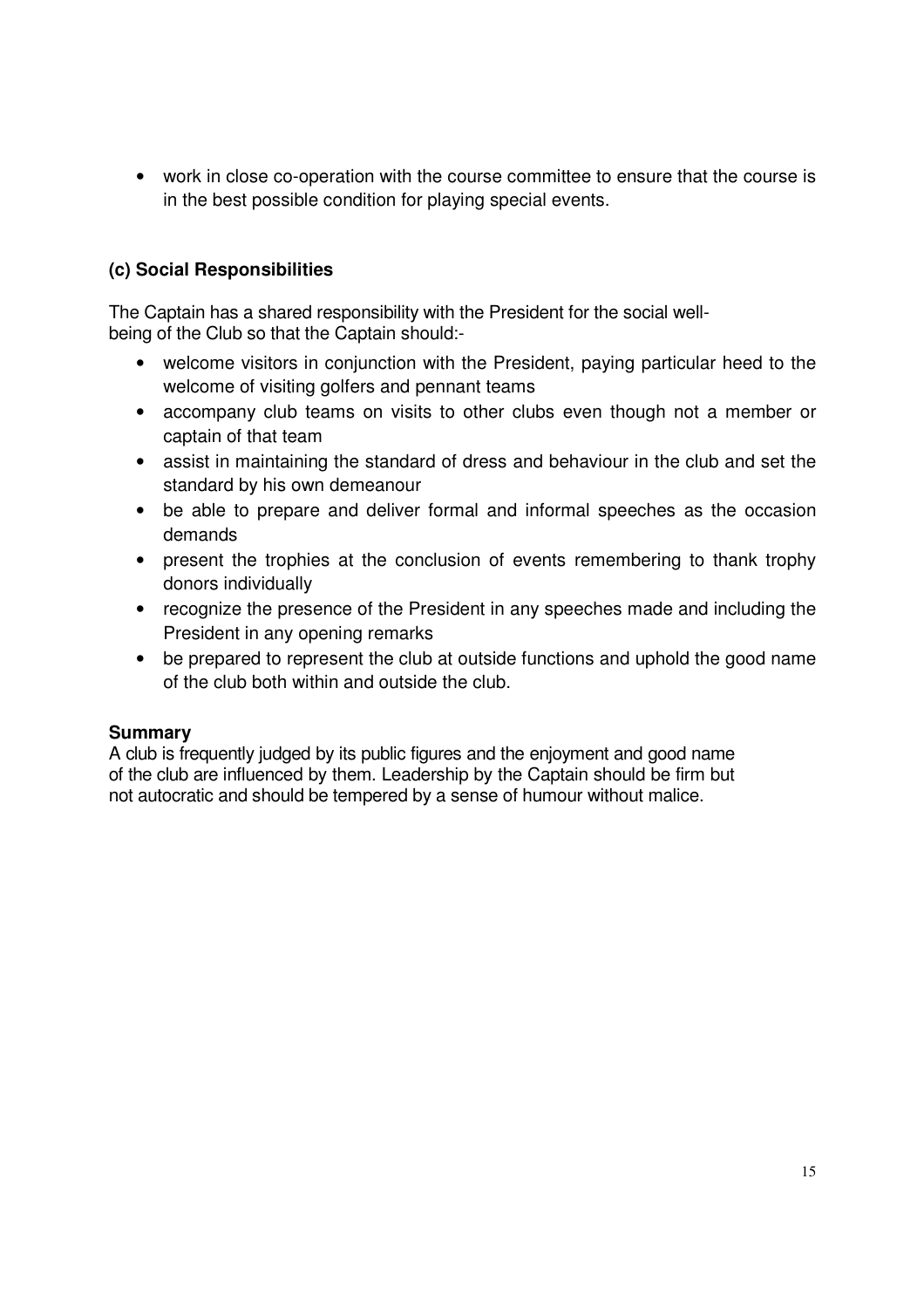• work in close co-operation with the course committee to ensure that the course is in the best possible condition for playing special events.

#### **(c) Social Responsibilities**

The Captain has a shared responsibility with the President for the social wellbeing of the Club so that the Captain should:-

- welcome visitors in conjunction with the President, paying particular heed to the welcome of visiting golfers and pennant teams
- accompany club teams on visits to other clubs even though not a member or captain of that team
- assist in maintaining the standard of dress and behaviour in the club and set the standard by his own demeanour
- be able to prepare and deliver formal and informal speeches as the occasion demands
- present the trophies at the conclusion of events remembering to thank trophy donors individually
- recognize the presence of the President in any speeches made and including the President in any opening remarks
- be prepared to represent the club at outside functions and uphold the good name of the club both within and outside the club.

#### **Summary**

A club is frequently judged by its public figures and the enjoyment and good name of the club are influenced by them. Leadership by the Captain should be firm but not autocratic and should be tempered by a sense of humour without malice.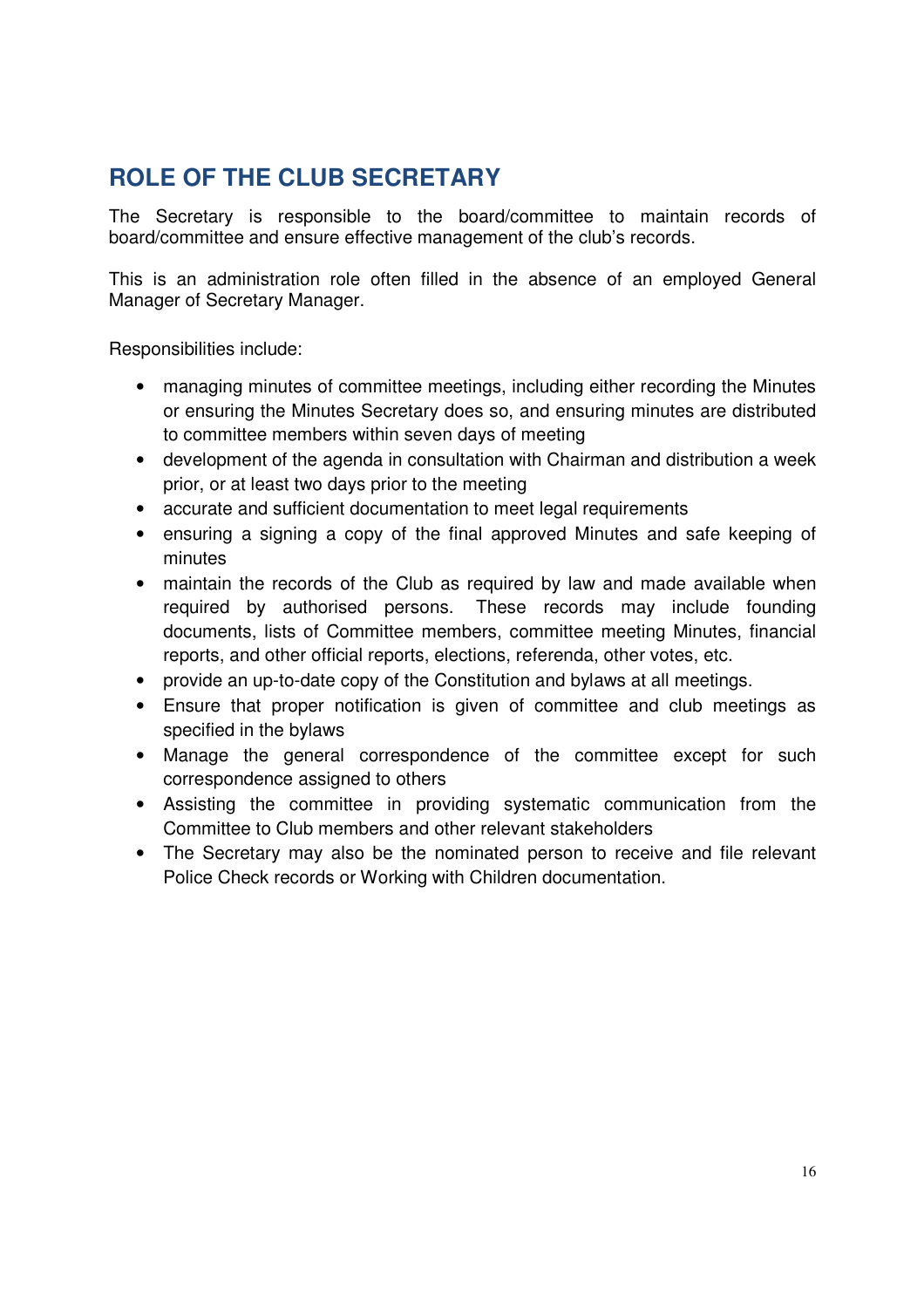## **ROLE OF THE CLUB SECRETARY**

The Secretary is responsible to the board/committee to maintain records of board/committee and ensure effective management of the club's records.

This is an administration role often filled in the absence of an employed General Manager of Secretary Manager.

Responsibilities include:

- managing minutes of committee meetings, including either recording the Minutes or ensuring the Minutes Secretary does so, and ensuring minutes are distributed to committee members within seven days of meeting
- development of the agenda in consultation with Chairman and distribution a week prior, or at least two days prior to the meeting
- accurate and sufficient documentation to meet legal requirements
- ensuring a signing a copy of the final approved Minutes and safe keeping of minutes
- maintain the records of the Club as required by law and made available when required by authorised persons. These records may include founding documents, lists of Committee members, committee meeting Minutes, financial reports, and other official reports, elections, referenda, other votes, etc.
- provide an up-to-date copy of the Constitution and bylaws at all meetings.
- Ensure that proper notification is given of committee and club meetings as specified in the bylaws
- Manage the general correspondence of the committee except for such correspondence assigned to others
- Assisting the committee in providing systematic communication from the Committee to Club members and other relevant stakeholders
- The Secretary may also be the nominated person to receive and file relevant Police Check records or Working with Children documentation.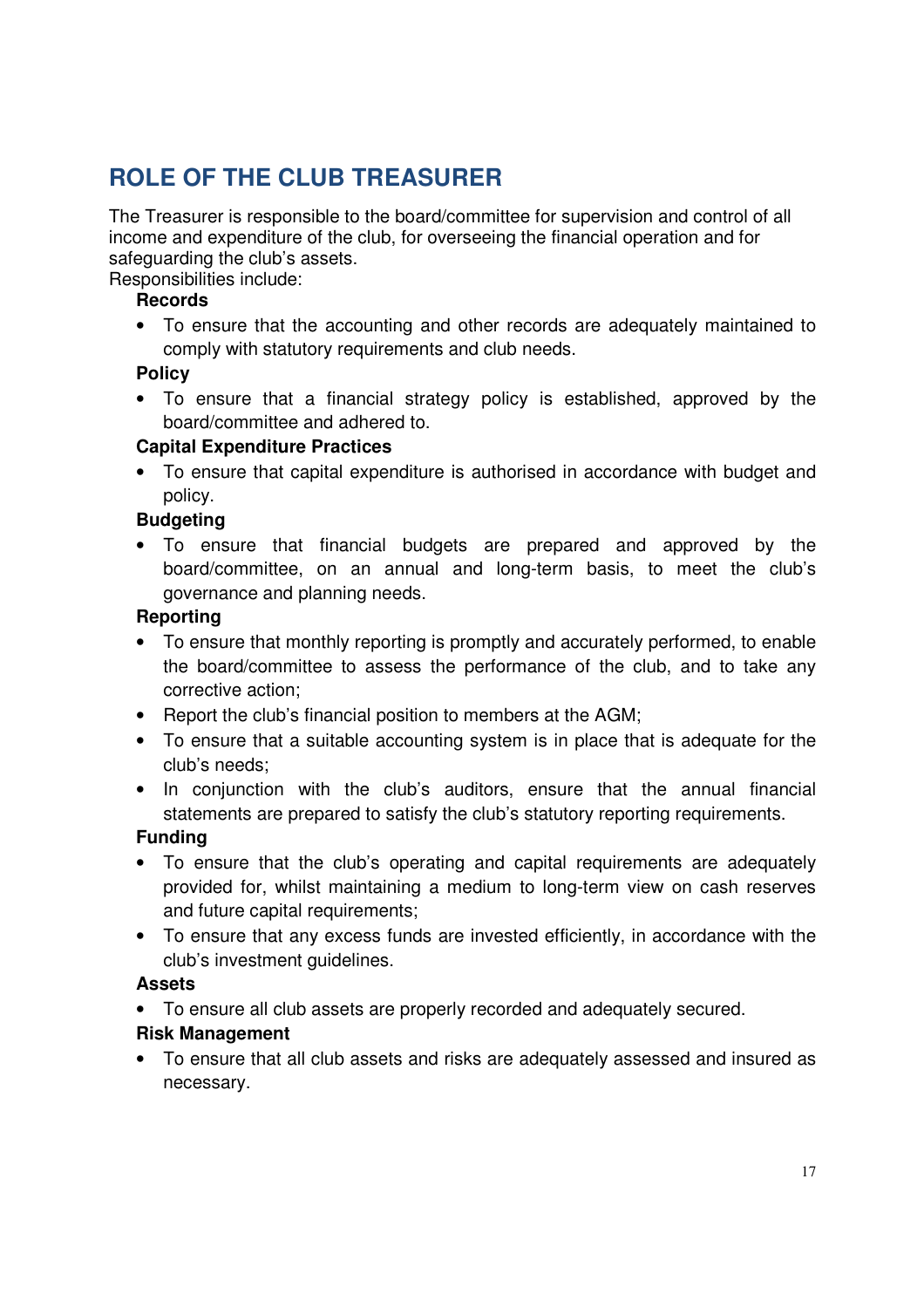## **ROLE OF THE CLUB TREASURER**

The Treasurer is responsible to the board/committee for supervision and control of all income and expenditure of the club, for overseeing the financial operation and for safeguarding the club's assets.

Responsibilities include:

#### **Records**

• To ensure that the accounting and other records are adequately maintained to comply with statutory requirements and club needs.

#### **Policy**

• To ensure that a financial strategy policy is established, approved by the board/committee and adhered to.

#### **Capital Expenditure Practices**

• To ensure that capital expenditure is authorised in accordance with budget and policy.

#### **Budgeting**

• To ensure that financial budgets are prepared and approved by the board/committee, on an annual and long-term basis, to meet the club's governance and planning needs.

#### **Reporting**

- To ensure that monthly reporting is promptly and accurately performed, to enable the board/committee to assess the performance of the club, and to take any corrective action;
- Report the club's financial position to members at the AGM;
- To ensure that a suitable accounting system is in place that is adequate for the club's needs;
- In conjunction with the club's auditors, ensure that the annual financial statements are prepared to satisfy the club's statutory reporting requirements.

#### **Funding**

- To ensure that the club's operating and capital requirements are adequately provided for, whilst maintaining a medium to long-term view on cash reserves and future capital requirements;
- To ensure that any excess funds are invested efficiently, in accordance with the club's investment guidelines.

#### **Assets**

• To ensure all club assets are properly recorded and adequately secured.

#### **Risk Management**

• To ensure that all club assets and risks are adequately assessed and insured as necessary.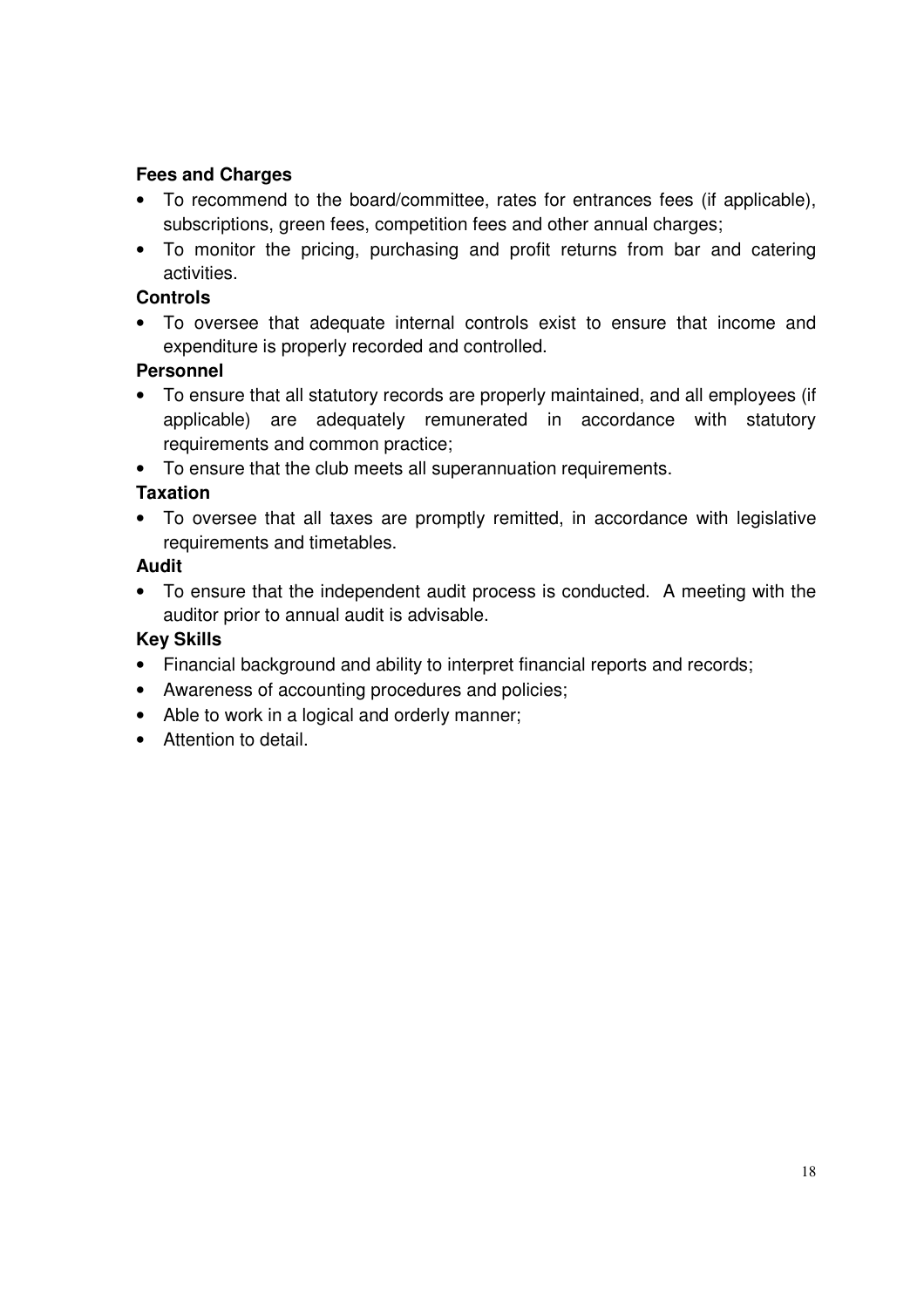#### **Fees and Charges**

- To recommend to the board/committee, rates for entrances fees (if applicable), subscriptions, green fees, competition fees and other annual charges;
- To monitor the pricing, purchasing and profit returns from bar and catering activities.

#### **Controls**

• To oversee that adequate internal controls exist to ensure that income and expenditure is properly recorded and controlled.

#### **Personnel**

- To ensure that all statutory records are properly maintained, and all employees (if applicable) are adequately remunerated in accordance with statutory requirements and common practice;
- To ensure that the club meets all superannuation requirements.

#### **Taxation**

• To oversee that all taxes are promptly remitted, in accordance with legislative requirements and timetables.

#### **Audit**

• To ensure that the independent audit process is conducted. A meeting with the auditor prior to annual audit is advisable.

#### **Key Skills**

- Financial background and ability to interpret financial reports and records;
- Awareness of accounting procedures and policies;
- Able to work in a logical and orderly manner;
- Attention to detail.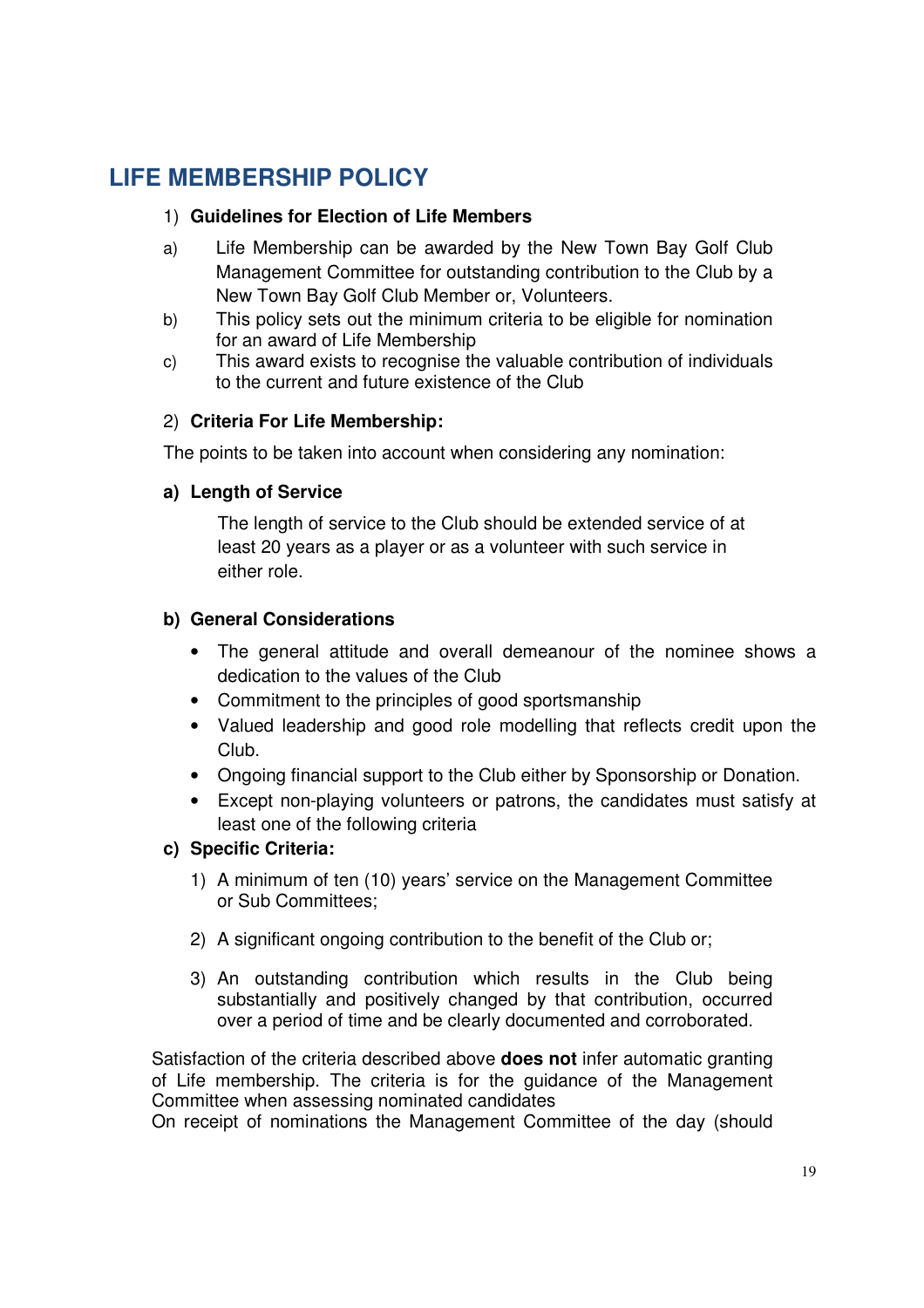## **LIFE MEMBERSHIP POLICY**

#### 1) **Guidelines for Election of Life Members**

- a) Life Membership can be awarded by the New Town Bay Golf Club Management Committee for outstanding contribution to the Club by a New Town Bay Golf Club Member or, Volunteers.
- b) This policy sets out the minimum criteria to be eligible for nomination for an award of Life Membership
- c) This award exists to recognise the valuable contribution of individuals to the current and future existence of the Club

#### 2) **Criteria For Life Membership:**

The points to be taken into account when considering any nomination:

#### **a) Length of Service**

The length of service to the Club should be extended service of at least 20 years as a player or as a volunteer with such service in either role.

#### **b) General Considerations**

- The general attitude and overall demeanour of the nominee shows a dedication to the values of the Club
- Commitment to the principles of good sportsmanship
- Valued leadership and good role modelling that reflects credit upon the Club.
- Ongoing financial support to the Club either by Sponsorship or Donation.
- Except non-playing volunteers or patrons, the candidates must satisfy at least one of the following criteria

#### **c) Specific Criteria:**

- 1) A minimum of ten (10) years' service on the Management Committee or Sub Committees;
- 2) A significant ongoing contribution to the benefit of the Club or;
- 3) An outstanding contribution which results in the Club being substantially and positively changed by that contribution, occurred over a period of time and be clearly documented and corroborated.

Satisfaction of the criteria described above **does not** infer automatic granting of Life membership. The criteria is for the guidance of the Management Committee when assessing nominated candidates

On receipt of nominations the Management Committee of the day (should